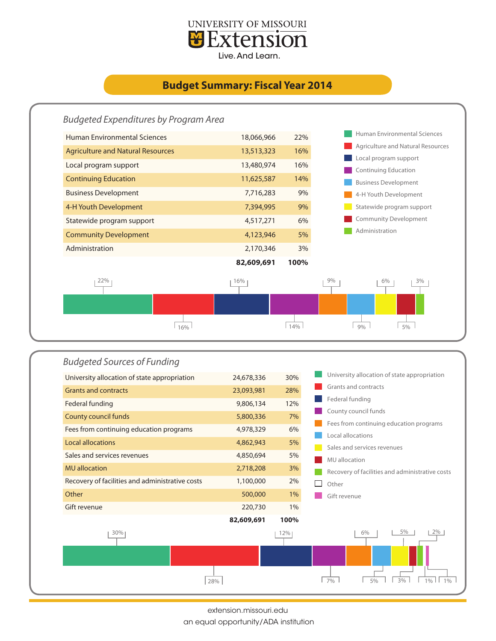

## **Budget Summary: Fiscal Year 2014**





extension.missouri.edu

an equal opportunity/ADA institution